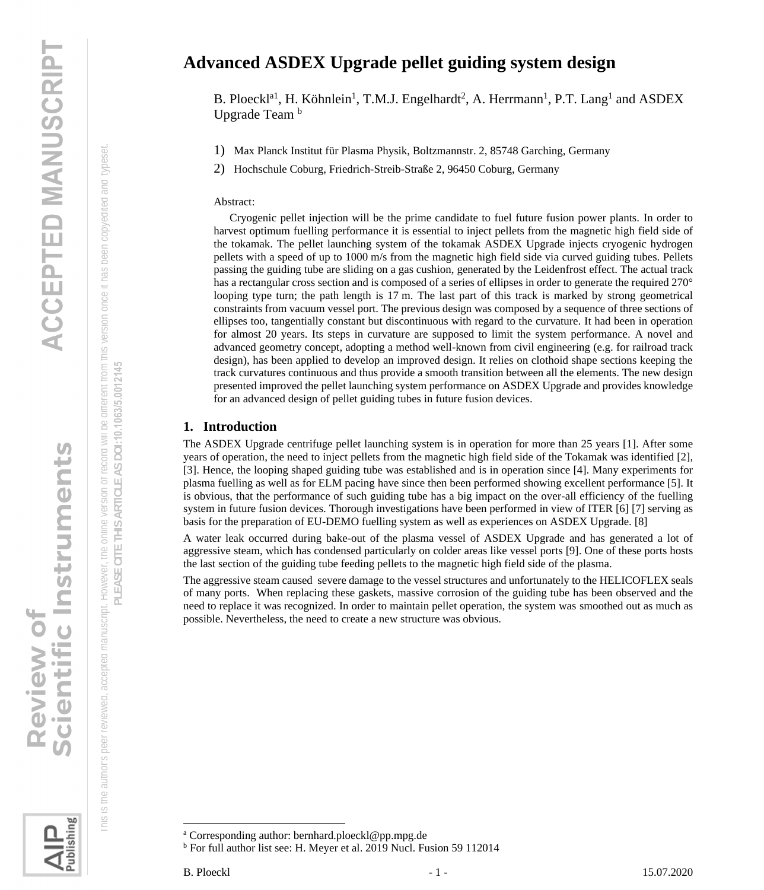# Review of<br>Scientific Instruments

 This is the author's peer reviewed, accepted manuscript. However, the online version of record will be different from this version once it has been copyedited and typeset. Is the author's peer reviewed, accepted manuscript. However, the online version of record will be different from this version once it has been copyedited and typeset 군

 $\frac{\text{C}}{\text{C}}$ 

Publishing

## EASE CITE THIS ARTICLE AS DOI:10.1063/5.0012145 **PLEASE CITE THIS ARTICLE AS DOI:**10.1063/5.0012145

### **Advanced ASDEX Upgrade pellet guiding system design**

B. Ploeckl<sup>a1</sup>, H. Köhnlein<sup>1</sup>, T.M.J. Engelhardt<sup>2</sup>, A. Herrmann<sup>1</sup>, P.T. Lang<sup>1</sup> and ASDEX Upgrade Team<sup>b</sup>

1) Max Planck Institut für Plasma Physik, Boltzmannstr. 2, 85748 Garching, Germany

2) Hochschule Coburg, Friedrich-Streib-Straße 2, 96450 Coburg, Germany

### Abstract:

Cryogenic pellet injection will be the prime candidate to fuel future fusion power plants. In order to harvest optimum fuelling performance it is essential to inject pellets from the magnetic high field side of the tokamak. The pellet launching system of the tokamak ASDEX Upgrade injects cryogenic hydrogen pellets with a speed of up to 1000 m/s from the magnetic high field side via curved guiding tubes. Pellets passing the guiding tube are sliding on a gas cushion, generated by the Leidenfrost effect. The actual track has a rectangular cross section and is composed of a series of ellipses in order to generate the required 270° looping type turn; the path length is 17 m. The last part of this track is marked by strong geometrical constraints from vacuum vessel port. The previous design was composed by a sequence of three sections of ellipses too, tangentially constant but discontinuous with regard to the curvature. It had been in operation for almost 20 years. Its steps in curvature are supposed to limit the system performance. A novel and advanced geometry concept, adopting a method well-known from civil engineering (e.g. for railroad track design), has been applied to develop an improved design. It relies on clothoid shape sections keeping the track curvatures continuous and thus provide a smooth transition between all the elements. The new design presented improved the pellet launching system performance on ASDEX Upgrade and provides knowledge for an advanced design of pellet guiding tubes in future fusion devices.

### **1. Introduction**

The ASDEX Upgrade centrifuge pellet launching system is in operation for more than 25 years [1]. After some years of operation, the need to inject pellets from the magnetic high field side of the Tokamak was identified [2], [3]. Hence, the looping shaped guiding tube was established and is in operation since [4]. Many experiments for plasma fuelling as well as for ELM pacing have since then been performed showing excellent performance [5]. It is obvious, that the performance of such guiding tube has a big impact on the over-all efficiency of the fuelling system in future fusion devices. Thorough investigations have been performed in view of ITER [6] [7] serving as basis for the preparation of EU-DEMO fuelling system as well as experiences on ASDEX Upgrade. [8]

A water leak occurred during bake-out of the plasma vessel of ASDEX Upgrade and has generated a lot of aggressive steam, which has condensed particularly on colder areas like vessel ports [9]. One of these ports hosts the last section of the guiding tube feeding pellets to the magnetic high field side of the plasma.

The aggressive steam caused severe damage to the vessel structures and unfortunately to the HELICOFLEX seals of many ports. When replacing these gaskets, massive corrosion of the guiding tube has been observed and the need to replace it was recognized. In order to maintain pellet operation, the system was smoothed out as much as possible. Nevertheless, the need to create a new structure was obvious.

<sup>b</sup> For full author list see: H. Meyer et al. 2019 Nucl. Fusion 59 112014

<sup>a</sup> Corresponding author: bernhard.ploeckl@pp.mpg.de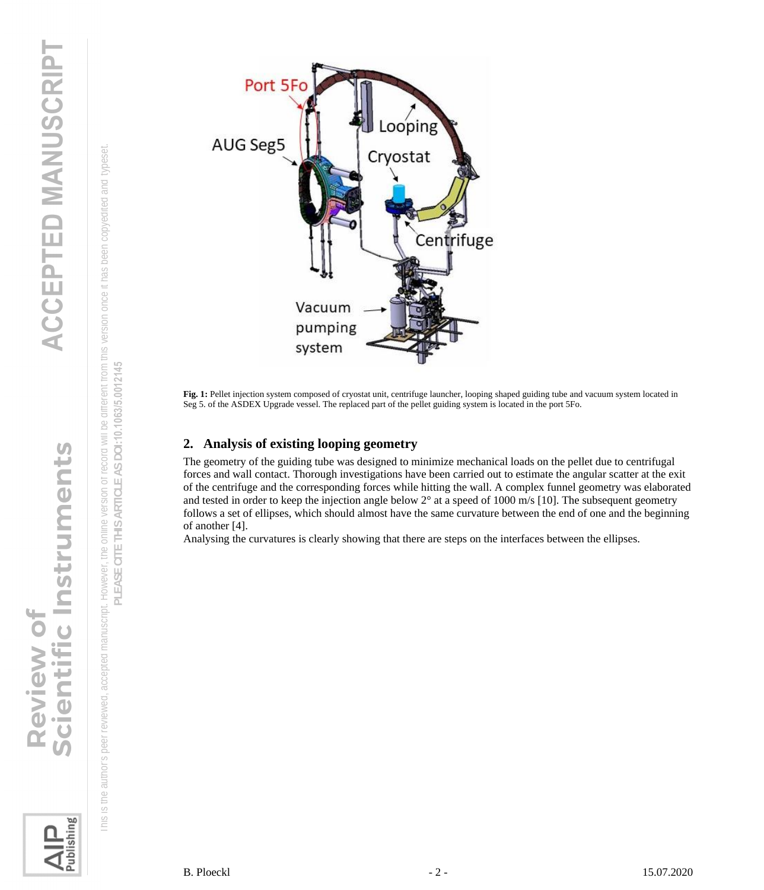This is the author's peer reviewed, accepted manuscript. However, the online version of record will be different from this version once it has been copyedited and typeset. **PLEASE CITE THIS ARTICLE AS DOI:**10.1063/5.0012145

PLEASE CITE THIS ARTICLE AS DOI:10.1063/5.0012145

his is the author's peer reviewed, accepted manuscript. However, the online version of record will be different from this version once it has been copyedited and typeset



**Fig. 1:** Pellet injection system composed of cryostat unit, centrifuge launcher, looping shaped guiding tube and vacuum system located in Seg 5. of the ASDEX Upgrade vessel. The replaced part of the pellet guiding system is located in the port 5Fo.

### **2. Analysis of existing looping geometry**

The geometry of the guiding tube was designed to minimize mechanical loads on the pellet due to centrifugal forces and wall contact. Thorough investigations have been carried out to estimate the angular scatter at the exit of the centrifuge and the corresponding forces while hitting the wall. A complex funnel geometry was elaborated and tested in order to keep the injection angle below  $2^{\circ}$  at a speed of 1000 m/s [10]. The subsequent geometry follows a set of ellipses, which should almost have the same curvature between the end of one and the beginning of another [4].

Analysing the curvatures is clearly showing that there are steps on the interfaces between the ellipses.

Publishing

<u>io</u>

entific Instruments

**Review of**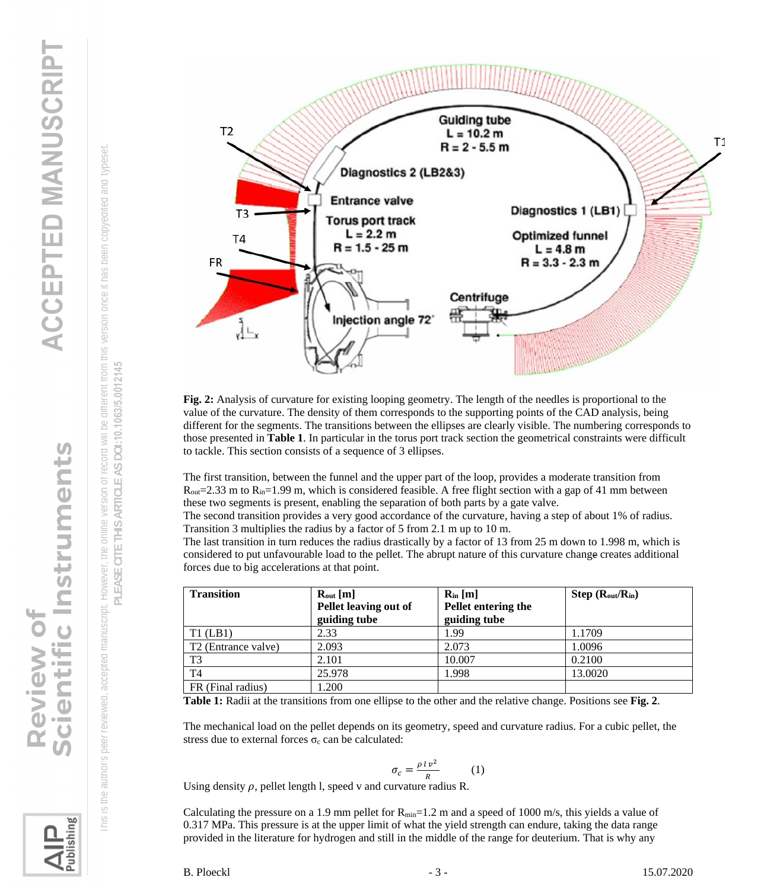entific Instruments **Review of** 

lishing









**Fig. 2:** Analysis of curvature for existing looping geometry. The length of the needles is proportional to the [valu](#page-2-0)e of the curvature. The density of them corresponds to the supporting points of the CAD analysis, being different for the segments. The transitions between the ellipses are clearly visible. The numbering corresponds to those presented in **Table 1**. In particular in the torus port track section the geometrical constraints were difficult to tackle. This section consists of a sequence of 3 ellipses.

The first transition, between the funnel and the upper part of the loop, provides a moderate transition from  $R_{\text{out}}=2.33$  m to  $R_{\text{in}}=1.99$  m, which is considered feasible. A free flight section with a gap of 41 mm between these two segments is present, enabling the separation of both parts by a gate valve.

The second transition provides a very good accordance of the curvature, having a step of about 1% of radius. Transition 3 multiplies the radius by a factor of 5 from 2.1 m up to 10 m.

The last transition in turn reduces the radius drastically by a factor of 13 from 25 m down to 1.998 m, which is considered to put unfavourable load to the pellet. The abrupt nature of this curvature change creates additional forces due to big accelerations at that point.

| <b>Transition</b>               | $R_{out}$ [m]         | $R_{in}$ [m]        | $Step (R_{out}/R_{in})$ |
|---------------------------------|-----------------------|---------------------|-------------------------|
|                                 | Pellet leaving out of | Pellet entering the |                         |
|                                 | guiding tube          | guiding tube        |                         |
| $T1$ (LB1)                      | 2.33                  | 1.99                | 1.1709                  |
| T <sub>2</sub> (Entrance valve) | 2.093                 | 2.073               | 1.0096                  |
| T <sub>3</sub>                  | 2.101                 | 10.007              | 0.2100                  |
| T4                              | 25.978                | 1.998               | 13.0020                 |
| FR (Final radius)               | 1.200                 |                     |                         |

<span id="page-2-0"></span>**Table 1:** Radii at the transitions from one ellipse to the other and the relative change. Positions see **Fig. 2**.

The mechanical load on the pellet depends on its geometry, speed and curvature radius. For a cubic pellet, the stress due to external forces  $\sigma_c$  can be calculated:

$$
\sigma_c = \frac{\rho \, l \, v^2}{R} \tag{1}
$$

Using density  $\rho$ , pellet length l, speed v and curvature radius R.

Calculating the pressure on a 1.9 mm pellet for  $R_{min}=1.2$  m and a speed of 1000 m/s, this yields a value of 0.317 MPa. This pressure is at the upper limit of what the yield strength can endure, taking the data range provided in the literature for hydrogen and still in the middle of the range for deuterium. That is why any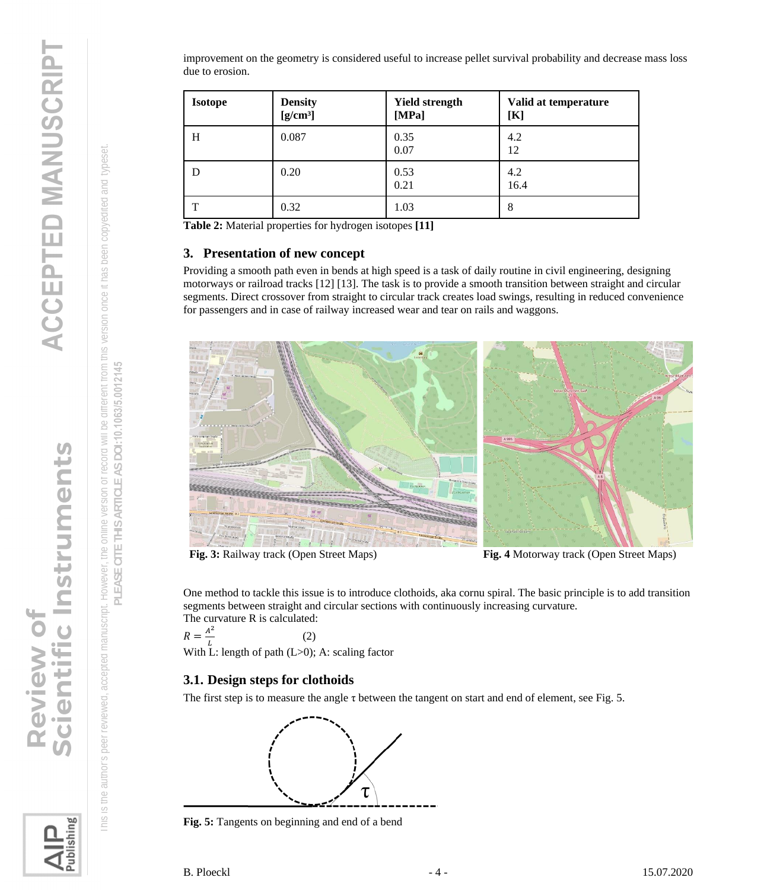improvement on the geometry is considered useful to increase pellet survival probability and decrease mass loss due to erosion.

| <b>Isotope</b> | <b>Density</b><br>$[g/cm^3]$ | <b>Yield strength</b><br>[MPa] | Valid at temperature<br>[K] |
|----------------|------------------------------|--------------------------------|-----------------------------|
| H              | 0.087                        | 0.35<br>0.07                   | 4.2<br>12                   |
| D              | 0.20                         | 0.53<br>0.21                   | 4.2<br>16.4                 |
| T              | 0.32                         | 1.03                           | 8                           |

**Table 2:** Material properties for hydrogen isotopes **[11]**

### **3. Presentation of new concept**

Providing a smooth path even in bends at high speed is a task of daily routine in civil engineering, designing motorways or railroad tracks [12] [13]. The task is to provide a smooth transition between straight and circular segments. Direct crossover from straight to circular track creates load swings, resulting in reduced convenience for passengers and in case of railway increased wear and tear on rails and waggons.



**Fig. 3:** Railway track (Open Street Maps) **Fig. 4** Motorway track (Open Street Maps)

One method to tackle this issue is to introduce clothoids, aka cornu spiral. The basic principle is to add transition segments between straight and circular sections with continuously increasing curvature. The curvature R is calculated:

 $R=\frac{A^2}{I}$ L (2)

With L: length of path  $(L>0)$ ; A: scaling factor

### **3.1. Design steps for clothoids**

The first step is to measure the angle  $\tau$  between the tangent on start and end of element, see Fig. 5.



**Fig. 5:** Tangents on beginning and end of a bend

**PLEASE CITE THIS ARTICLE AS DOI:**10.1063/5.0012145

PLEASE CITE THIS ARTICLE AS DOI:10.1063/5.0012145

the online version of record will be different from this version once it has been copyedited and typeset

 This is the author's peer reviewed, accepted manuscript. However, the online version of record will be different from this version once it has been copyedited and typeset. lishing

 $\frac{\text{C}}{\text{C}}$ 

is the author's peer reviewed, accepted manuscript. However,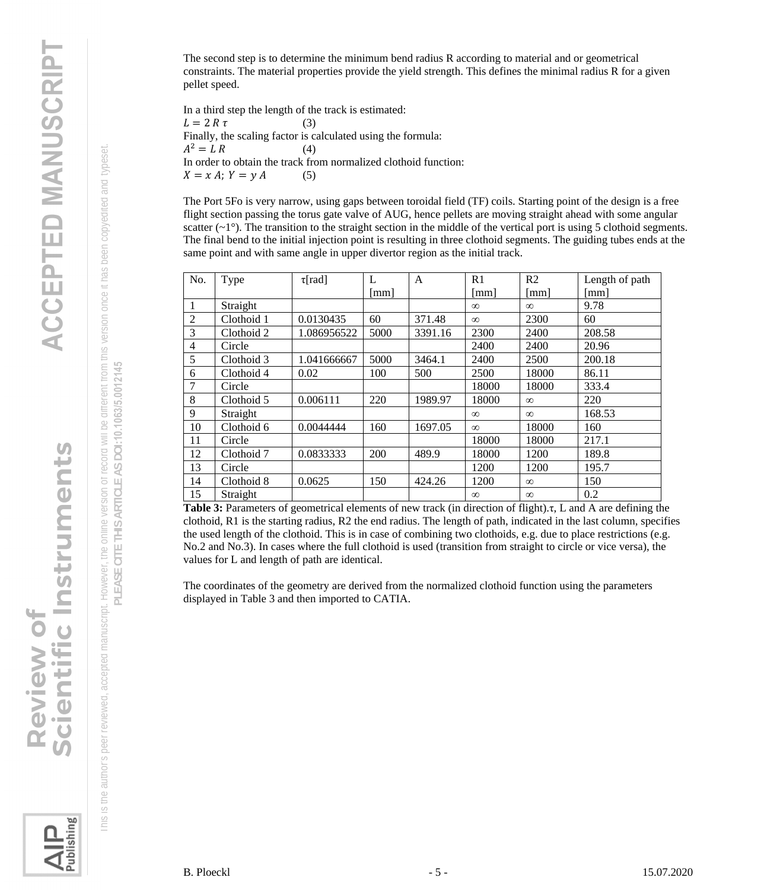**ACCEPTED MANUSCRIPT** 

<span id="page-4-0"></span>Scientific Instruments **Review of** 

 This is the author's peer reviewed, accepted manuscript. However, the online version of record will be different from this version once it has been copyedited and typeset. Is the author's peer reviewed, accepted manuscript. However, the online version of record will be different from this version once it has been copyedited and typeset  $\frac{\text{C}}{\text{C}}$ 

PLEASE CITE THIS ARTICLE AS DOI:10.1063/5.0012145 **PLEASE CITE THIS ARTICLE AS DOI:**10.1063/5.0012145

lishing

The second step is to determine the minimum bend radius R according to material and or geometrical constraints. The material properties provide the yield strength. This defines the minimal radius R for a given pellet speed.

In a third step the length of the track is estimated:  $L = 2 R \tau$  (3) Finally, the scaling factor is calculated using the formula:  $A^2 = L R$  (4) In order to obtain the track from normalized clothoid function:  $X = x A; Y = y A$  (5)

The Port 5Fo is very narrow, using gaps between toroidal field (TF) coils. Starting point of the design is a free flight section passing the torus gate valve of AUG, hence pellets are moving straight ahead with some angular scatter  $(-1)$ . The transition to the straight section in the middle of the vertical port is using 5 clothoid segments. The final bend to the initial injection point is resulting in three clothoid segments. The guiding tubes ends at the same point and with same angle in upper divertor region as the initial track.

| No.            | Type       | $\tau$ [rad] | L    | $\overline{A}$ | R1       | R <sub>2</sub> | Length of path |
|----------------|------------|--------------|------|----------------|----------|----------------|----------------|
|                |            |              | [mm] |                | [mm]     | mm             | [mm]           |
| 1              | Straight   |              |      |                | $\infty$ | $\infty$       | 9.78           |
| $\overline{2}$ | Clothoid 1 | 0.0130435    | 60   | 371.48         | $\infty$ | 2300           | 60             |
| 3              | Clothoid 2 | 1.086956522  | 5000 | 3391.16        | 2300     | 2400           | 208.58         |
| 4              | Circle     |              |      |                | 2400     | 2400           | 20.96          |
| 5              | Clothoid 3 | 1.041666667  | 5000 | 3464.1         | 2400     | 2500           | 200.18         |
| 6              | Clothoid 4 | 0.02         | 100  | 500            | 2500     | 18000          | 86.11          |
| 7              | Circle     |              |      |                | 18000    | 18000          | 333.4          |
| 8              | Clothoid 5 | 0.006111     | 220  | 1989.97        | 18000    | $\infty$       | 220            |
| 9              | Straight   |              |      |                | $\infty$ | $\infty$       | 168.53         |
| 10             | Clothoid 6 | 0.0044444    | 160  | 1697.05        | $\infty$ | 18000          | 160            |
| 11             | Circle     |              |      |                | 18000    | 18000          | 217.1          |
| 12             | Clothoid 7 | 0.0833333    | 200  | 489.9          | 18000    | 1200           | 189.8          |
| 13             | Circle     |              |      |                | 1200     | 1200           | 195.7          |
| 14             | Clothoid 8 | 0.0625       | 150  | 424.26         | 1200     | $\infty$       | 150            |
| 15             | Straight   |              |      |                | $\infty$ | $\infty$       | 0.2            |

**Table 3:** Parameters of geometrical elements of new track (in direction of flight).τ, L and A are defining the clothoid, R1 is the starting radius, R2 the end radius. The length of path, indicated in the last column, specifies the used length of the clothoid. This is in case of combining two clothoids, e.g. due to place restrictions (e.g. No.2 and No.3). In cases where the full clothoid is used (transition from straight to circle or vice versa), the values for L and length of path are identical.

The coordinates of the geometry are derived from the normalized clothoid function using the parameters displayed in Table 3 and then imported to CATIA.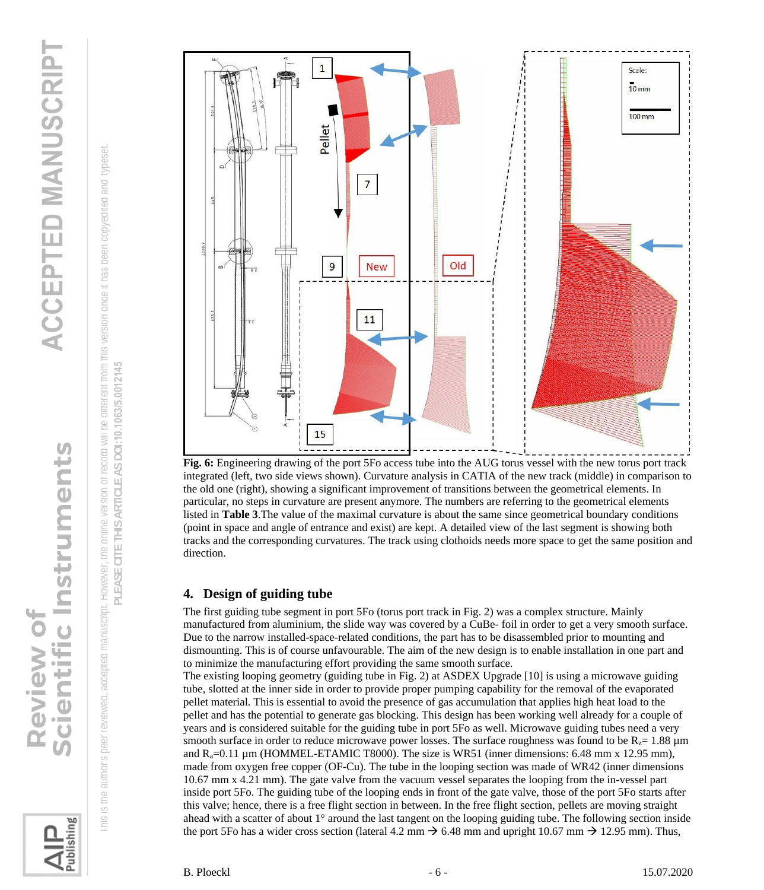Scientific Instruments **Review of** 

ublishing





**Fig. 6:** Engineering drawing of the port 5Fo access tube into the AUG torus vessel with the new torus port track integrated (left, two side views shown). Curvature analysis in CATIA of the new track (middle) in comparison to the old one (right), showing a significant improvement of transitions between the geometrical elements. In particular, no steps in curvature are present anymore. The numbers are referring to the geometrical elements listed in **Table 3**.The value of the maximal curvature is about the same since geometrical boundary conditions (point in space and angle of entrance and exist) are kept. A detailed view of the last segment is showing both tracks and the corresponding curvatures. The track using clothoids needs more space to get the same position and direction.

### **4. Design of guiding tube**

The first guiding tube segment in port 5Fo (torus port track in Fig. 2) was a complex structure. Mainly manufactured from aluminium, the slide way was covered by a CuBe- foil in order to get a very smooth surface. Due to the narrow installed-space-related conditions, the part has to be disassembled prior to mounting and dismounting. This is of course unfavourable. The aim of the new design is to enable installation in one part and to minimize the manufacturing effort providing the same smooth surface.

The existing looping geometry (guiding tube in Fig. 2) at ASDEX Upgrade [10] is using a microwave guiding tube, slotted at the inner side in order to provide proper pumping capability for the removal of the evaporated pellet material. This is essential to avoid the presence of gas accumulation that applies high heat load to the pellet and has the potential to generate gas blocking. This design has been working well already for a couple of years and is considered suitable for the guiding tube in port 5Fo as well. Microwave guiding tubes need a very smooth surface in order to reduce microwave power losses. The surface roughness was found to be  $R_z = 1.88 \mu m$ and  $R_a=0.11 \mu m$  (HOMMEL-ETAMIC T8000). The size is WR51 (inner dimensions: 6.48 mm x 12.95 mm), made from oxygen free copper (OF-Cu). The tube in the looping section was made of WR42 (inner dimensions 10.67 mm x 4.21 mm). The gate valve from the vacuum vessel separates the looping from the in-vessel part inside port 5Fo. The guiding tube of the looping ends in front of the gate valve, those of the port 5Fo starts after this valve; hence, there is a free flight section in between. In the free flight section, pellets are moving straight ahead with a scatter of about 1° around the last tangent on the looping guiding tube. The following section inside the port 5Fo has a wider cross section (lateral 4.2 mm  $\rightarrow$  6.48 mm and upright 10.67 mm  $\rightarrow$  12.95 mm). Thus,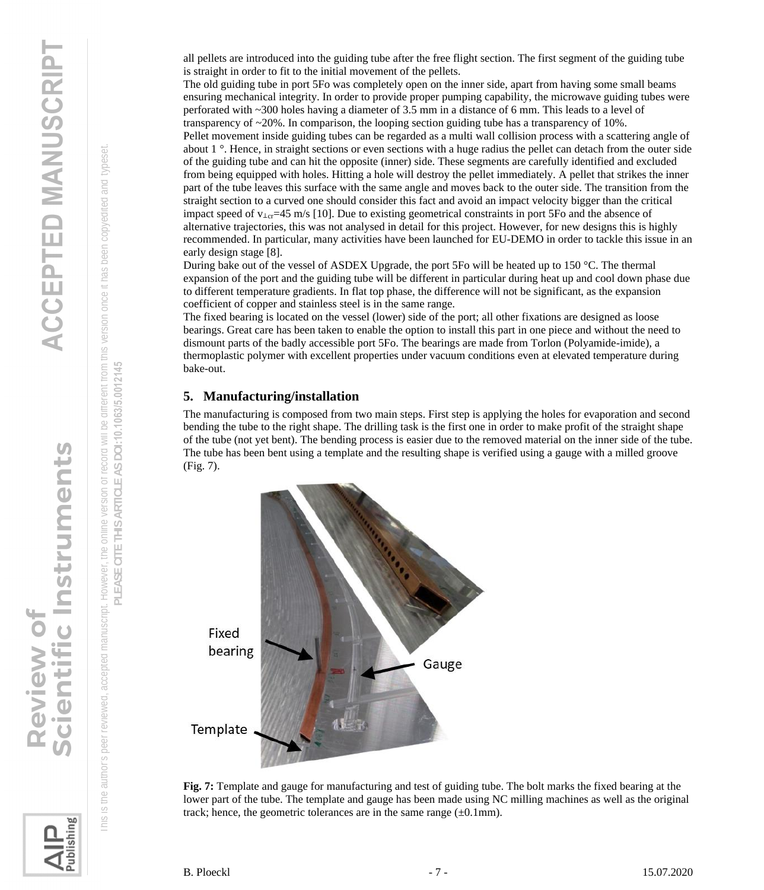Scientific Instruments **Review of** 

 This is the author's peer reviewed, accepted manuscript. However, the online version of record [will](#page-6-0) be different from this version once it has been copyedited and typeset. the online version of record will be different from this version once it has been copyedited and typeset the author's peer reviewed, accepted manuscript. However,  $\subseteq$  $\frac{\circ}{\circ}$ 

EASE CITE THIS ARTICLE AS DOI:10.1063/5.0012145 **PLEASE CITE THIS ARTICLE AS DOI:**10.1063/5.0012145군

<span id="page-6-0"></span>ublishing

all pellets are introduced into the guiding tube after the free flight section. The first segment of the guiding tube is straight in order to fit to the initial movement of the pellets.

The old guiding tube in port 5Fo was completely open on the inner side, apart from having some small beams ensuring mechanical integrity. In order to provide proper pumping capability, the microwave guiding tubes were perforated with ~300 holes having a diameter of 3.5 mm in a distance of 6 mm. This leads to a level of transparency of ~20%. In comparison, the looping section guiding tube has a transparency of 10%. Pellet movement inside guiding tubes can be regarded as a multi wall collision process with a scattering angle of about 1 °. Hence, in straight sections or even sections with a huge radius the pellet can detach from the outer side of the guiding tube and can hit the opposite (inner) side. These segments are carefully identified and excluded from being equipped with holes. Hitting a hole will destroy the pellet immediately. A pellet that strikes the inner part of the tube leaves this surface with the same angle and moves back to the outer side. The transition from the straight section to a curved one should consider this fact and avoid an impact velocity bigger than the critical impact speed of v⊥<sub>cr</sub>=45 m/s [10]. Due to existing geometrical constraints in port 5Fo and the absence of alternative trajectories, this was not analysed in detail for this project. However, for new designs this is highly recommended. In particular, many activities have been launched for EU-DEMO in order to tackle this issue in an early design stage [8].

During bake out of the vessel of ASDEX Upgrade, the port 5Fo will be heated up to 150 °C. The thermal expansion of the port and the guiding tube will be different in particular during heat up and cool down phase due to different temperature gradients. In flat top phase, the difference will not be significant, as the expansion coefficient of copper and stainless steel is in the same range.

The fixed bearing is located on the vessel (lower) side of the port; all other fixations are designed as loose bearings. Great care has been taken to enable the option to install this part in one piece and without the need to dismount parts of the badly accessible port 5Fo. The bearings are made from Torlon (Polyamide-imide), a thermoplastic polymer with excellent properties under vacuum conditions even at elevated temperature during bake-out.

### **5. Manufacturing/installation**

The manufacturing is composed from two main steps. First step is applying the holes for evaporation and second bending the tube to the right shape. The drilling task is the first one in order to make profit of the straight shape of the tube (not yet bent). The bending process is easier due to the removed material on the inner side of the tube. The tube has been bent using a template and the resulting shape is verified using a gauge with a milled groove (Fig. 7).



**Fig. 7:** Template and gauge for manufacturing and test of guiding tube. The bolt marks the fixed bearing at the lower part of the tube. The template and gauge has been made using NC milling machines as well as the original track; hence, the geometric tolerances are in the same range  $(\pm 0.1 \text{mm})$ .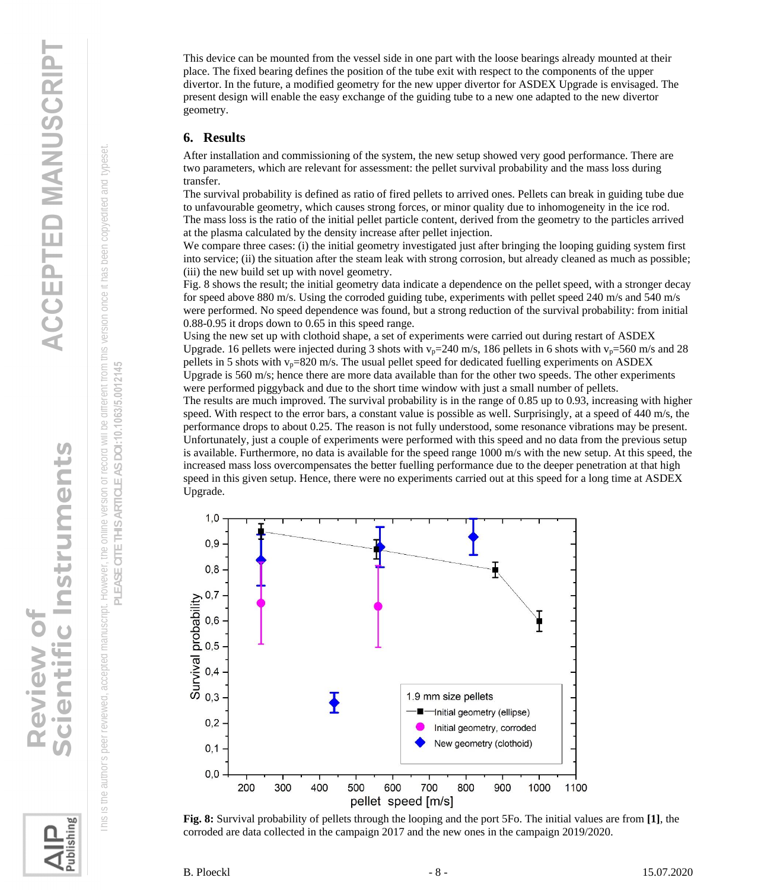cientific Instruments **Review of** 

 This is the author's peer reviewed, accepted manuscript. However, the online version of record will be different from this version once it has [bee](#page-7-0)n copyedited and typeset. the online version of record will be different from this version once it has been copyedited and typeset the author's peer reviewed, accepted manuscript. However,  $\subseteq$  $\frac{\circ}{\circ}$ 

EASE CITE THIS ARTICLE AS DOI:10.1063/5.0012145 **PLEASE CITE THIS ARTICLE AS DOI:**10.1063/5.0012145군

<span id="page-7-0"></span>ublishing

This device can be mounted from the vessel side in one part with the loose bearings already mounted at their place. The fixed bearing defines the position of the tube exit with respect to the components of the upper divertor. In the future, a modified geometry for the new upper divertor for ASDEX Upgrade is envisaged. The present design will enable the easy exchange of the guiding tube to a new one adapted to the new divertor geometry.

### **6. Results**

After installation and commissioning of the system, the new setup showed very good performance. There are two parameters, which are relevant for assessment: the pellet survival probability and the mass loss during transfer.

The survival probability is defined as ratio of fired pellets to arrived ones. Pellets can break in guiding tube due to unfavourable geometry, which causes strong forces, or minor quality due to inhomogeneity in the ice rod. The mass loss is the ratio of the initial pellet particle content, derived from the geometry to the particles arrived at the plasma calculated by the density increase after pellet injection.

We compare three cases: (i) the initial geometry investigated just after bringing the looping guiding system first into service; (ii) the situation after the steam leak with strong corrosion, but already cleaned as much as possible; (iii) the new build set up with novel geometry.

Fig. 8 shows the result; the initial geometry data indicate a dependence on the pellet speed, with a stronger decay for speed above 880 m/s. Using the corroded guiding tube, experiments with pellet speed 240 m/s and 540 m/s were performed. No speed dependence was found, but a strong reduction of the survival probability: from initial 0.88-0.95 it drops down to 0.65 in this speed range.

Using the new set up with clothoid shape, a set of experiments were carried out during restart of ASDEX Upgrade. 16 pellets were injected during 3 shots with  $v_p=240$  m/s, 186 pellets in 6 shots with  $v_p=560$  m/s and 28 pellets in 5 shots with  $v_p=820$  m/s. The usual pellet speed for dedicated fuelling experiments on ASDEX Upgrade is 560 m/s; hence there are more data available than for the other two speeds. The other experiments were performed piggyback and due to the short time window with just a small number of pellets.

The results are much improved. The survival probability is in the range of 0.85 up to 0.93, increasing with higher speed. With respect to the error bars, a constant value is possible as well. Surprisingly, at a speed of 440 m/s, the performance drops to about 0.25. The reason is not fully understood, some resonance vibrations may be present. Unfortunately, just a couple of experiments were performed with this speed and no data from the previous setup is available. Furthermore, no data is available for the speed range 1000 m/s with the new setup. At this speed, the increased mass loss overcompensates the better fuelling performance due to the deeper penetration at that high speed in this given setup. Hence, there were no experiments carried out at this speed for a long time at ASDEX Upgrade.



**Fig. 8:** Survival probability of pellets through the looping and the port 5Fo. The initial values are from **[1]**, the corroded are data collected in the campaign 2017 and the new ones in the campaign 2019/2020.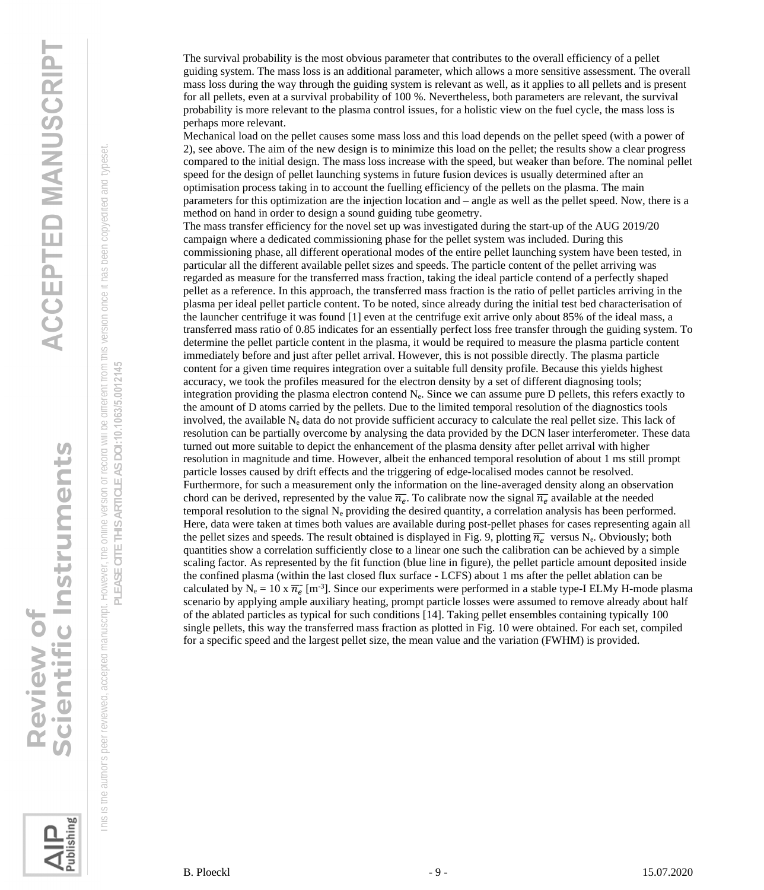The survival probability is the most obvious parameter that contributes to the overall efficiency of a pellet guiding system. The mass loss is an additional parameter, which allows a more sensitive assessment. The overall mass loss during the way through the guiding system is relevant as well, as it applies to all pellets and is present for all pellets, even at a survival probability of 100 %. Nevertheless, both parameters are relevant, the survival probability is more relevant to the plasma control issues, for a holistic view on the fuel cycle, the mass loss is perhaps more relevant.

Mechanical load on the pellet causes some mass loss and this load depends on the pellet speed (with a power of 2), see above. The aim of the new design is to minimize this load on the pellet; the results show a clear progress compared to the initial design. The mass loss increase with the speed, but weaker than before. The nominal pellet speed for the design of pellet launching systems in future fusion devices is usually determined after an optimisation process taking in to account the fuelling efficiency of the pellets on the plasma. The main parameters for this optimization are the injection location and – angle as well as the pellet speed. Now, there is a method on hand in order to design a sound guiding tube geometry.

The mass transfer efficiency for the novel set up was investigated during the start-up of the AUG 2019/20 campaign where a dedicated commissioning phase for the pellet system was included. During this commissioning phase, all different operational modes of the entire pellet launching system have been tested, in particular all the different available pellet sizes and speeds. The particle content of the pellet arriving was regarded as measure for the transferred mass fraction, taking the ideal particle contend of a perfectly shaped pellet as a reference. In this approach, the transferred mass fraction is the ratio of pellet particles arriving in the plasma per ideal pellet particle content. To be noted, since already during the initial test bed characterisation of the launcher centrifuge it was found [1] even at the centrifuge exit arrive only about 85% of the ideal mass, a transferred mass ratio of 0.85 indicates for an essentially perfect loss free transfer through the guiding system. To determine the pellet particle content in the plasma, it would be required to measure the plasma particle content immediately before and just after pellet arrival. However, this is not possible directly. The plasma particle content for a given time requires integration over a suitable full density profile. Because this yields highest accuracy, we took the profiles measured for the electron density by a set of different diagnosing tools; integration providing the plasma electron contend Ne. Since we can assume pure D pellets, this refers exactly to the amount of D atoms carried by the pellets. Due to the limited temporal resolution of the diagnostics tools involved, the available  $N_e$  data do not provide sufficient accuracy to calculate the real pellet size. This lack of resolution can be partially overcome by analysing the data provided by the DCN laser interferometer. These data turned out more suitable to depict the enhancement of the plasma density after pellet arrival with higher resolution in magnitude and time. However, albeit the enhanced temporal resolution of about 1 ms still prompt particle losses caused by drift effects and the triggering of edge-localised modes cannot be resolved. Furthermore, for such a measurement only the information on the line-averaged density along an observation chord can be derived, represented by the value  $\overline{n_e}$ . To calibrate now the signal  $\overline{n_e}$  available at the needed temporal resolution to the signal  $N_e$  pr[oviding](#page-9-0) the desired quantity, a correlation analysis has been performed. Here, data were taken at times both values are available during post-pellet phases for cases representing again all the pellet sizes and speeds. The result obtained is displayed in Fig. 9, plotting  $\overline{n_e}$  versus N<sub>e</sub>. Obviously; both quantities show a correlation sufficiently close to a linear one such the calibration can be achieved by a simple scaling factor. As represented by the fit function (blue line in figure), the pellet particle amount deposited inside the confined plasma (within the last closed flux surface - LCFS) about 1 ms after the pellet ablation can be calculated by  $N_e = 10 \times \overline{n_e}$  [m<sup>-3</sup>]. Since our experiments were performed in a stable type-I ELMy H-mode plasma scenario by applying ample auxiliary hea[ting, prom](#page-9-1)pt particle losses were assumed to remove already about half of the ablated particles as typical for such conditions [14]. Taking pellet ensembles containing typically 100 single pellets, this way the transferred mass fraction as plotted in Fig. 10 were obtained. For each set, compiled for a specific speed and the largest pellet size, the mean value and the variation (FWHM) is provided.

Scientific Instruments **Review of** 

 This is the author's peer reviewed, accepted manuscript. However, the online version of record will be different from this version once it has been copyedited and typeset. **PLEASE CITE THIS ARTICLE AS DOI:**10.1063/5.0012145

the author's peer reviewed, accepted manuscript. However,

 $\overline{\underline{\circ}}$  $\frac{\circ}{\circ}$  EASE CITE THIS ARTICLE AS DOI:10.1063/5.0012145

군

the online version of record will be different from this version once it has been copyedited and typeset

Publishing

B. Ploeckl 15.07.2020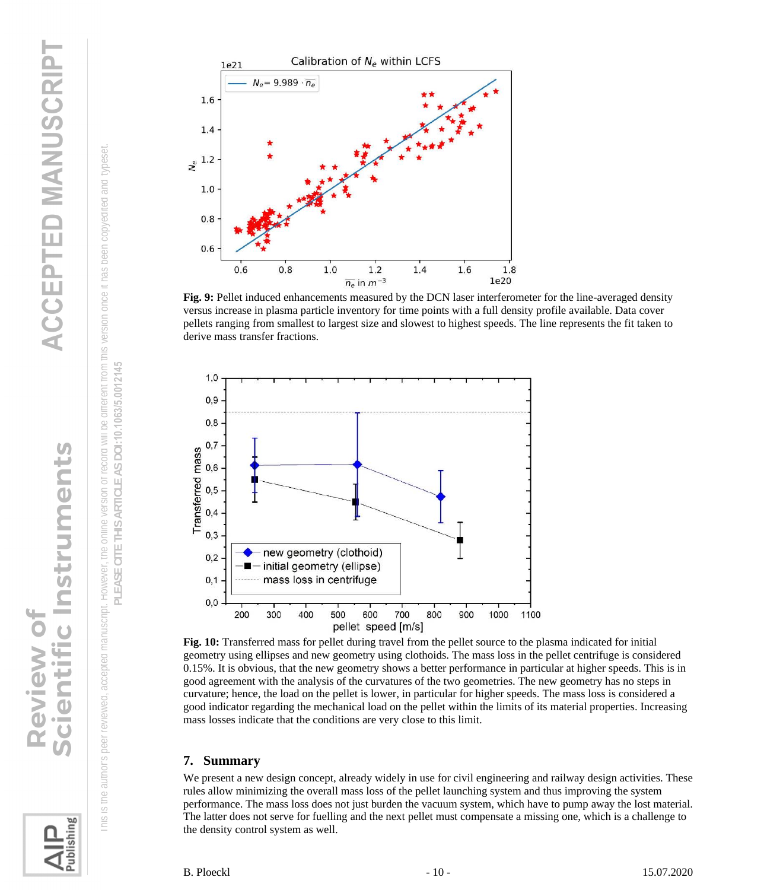



<span id="page-9-0"></span>



io

entific Instruments

<span id="page-9-1"></span>**Review of** 



**Fig. 9:** Pellet induced enhancements measured by the DCN laser interferometer for the line-averaged density versus increase in plasma particle inventory for time points with a full density profile available. Data cover pellets ranging from smallest to largest size and slowest to highest speeds. The line represents the fit taken to derive mass transfer fractions.



**Fig. 10:** Transferred mass for pellet during travel from the pellet source to the plasma indicated for initial geometry using ellipses and new geometry using clothoids. The mass loss in the pellet centrifuge is considered 0.15%. It is obvious, that the new geometry shows a better performance in particular at higher speeds. This is in good agreement with the analysis of the curvatures of the two geometries. The new geometry has no steps in curvature; hence, the load on the pellet is lower, in particular for higher speeds. The mass loss is considered a good indicator regarding the mechanical load on the pellet within the limits of its material properties. Increasing mass losses indicate that the conditions are very close to this limit.

### **7. Summary**

We present a new design concept, already widely in use for civil engineering and railway design activities. These rules allow minimizing the overall mass loss of the pellet launching system and thus improving the system performance. The mass loss does not just burden the vacuum system, which have to pump away the lost material. The latter does not serve for fuelling and the next pellet must compensate a missing one, which is a challenge to the density control system as well.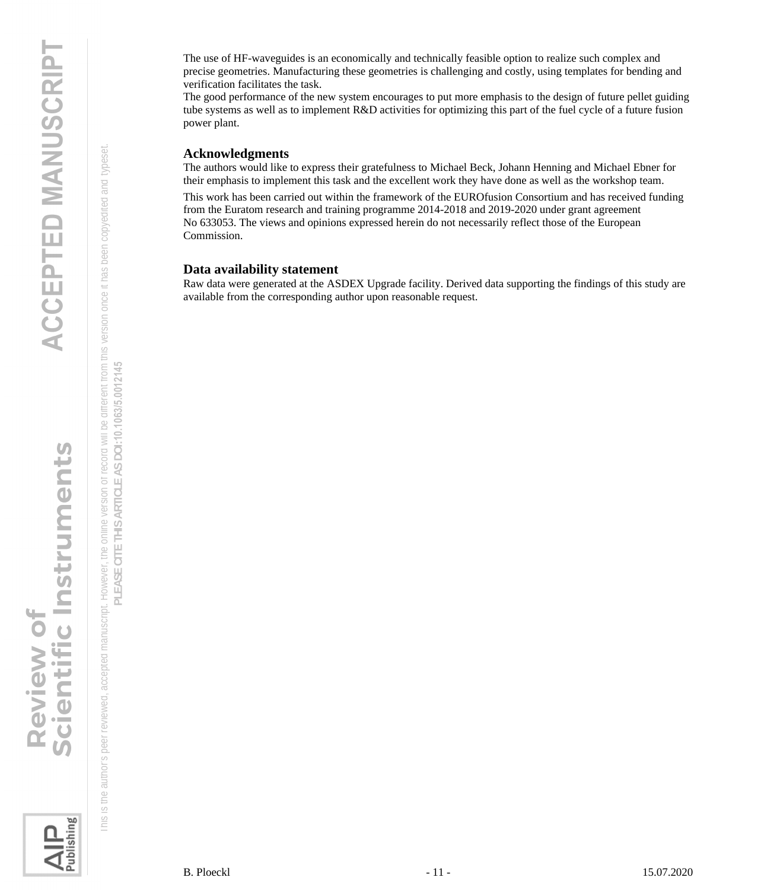The use of HF-waveguides is an economically and technically feasible option to realize such complex and precise geometries. Manufacturing these geometries is challenging and costly, using templates for bending and verification facilitates the task.

The good performance of the new system encourages to put more emphasis to the design of future pellet guiding tube systems as well as to implement R&D activities for optimizing this part of the fuel cycle of a future fusion power plant.

### **Acknowledgments**

The authors would like to express their gratefulness to Michael Beck, Johann Henning and Michael Ebner for their emphasis to implement this task and the excellent work they have done as well as the workshop team.

This work has been carried out within the framework of the EUROfusion Consortium and has received funding from the Euratom research and training programme 2014-2018 and 2019-2020 under grant agreement No 633053. The views and opinions expressed herein do not necessarily reflect those of the European Commission.

### **Data availability statement**

Raw data were generated at the ASDEX Upgrade facility. Derived data supporting the findings of this study are available from the corresponding author upon reasonable request.

Scientific Instruments **Review of** 

 This is the author's peer reviewed, accepted manuscript. However, the online version of record will be different from this version once it has been copyedited and typeset. **PLEASE CITE THIS ARTICLE AS DOI:**10.1063/5.0012145

Is the author's peer reviewed, accepted manuscript. However, the online version or record will be different from this version once it has been copyedited and typeset PLEASE CITE THIS ARTICLE AS DOI:10.1063/5.0012145

Publishing

 $\frac{\text{C}}{\text{C}}$